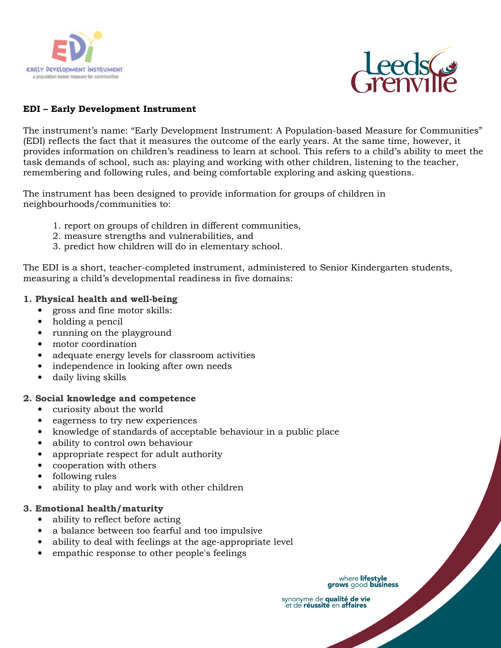



## **EDI – Early Development Instrument**

The instrument's name: "Early Development Instrument: A Population-based Measure for Communities" (EDI) reflects the fact that it measures the outcome of the early years. At the same time, however, it provides information on children's readiness to learn at school. This refers to a child's ability to meet the task demands of school, such as: playing and working with other children, listening to the teacher, remembering and following rules, and being comfortable exploring and asking questions.

The instrument has been designed to provide information for groups of children in neighbourhoods/communities to:

- 1. report on groups of children in different communities,
- 2. measure strengths and vulnerabilities, and
- 3. predict how children will do in elementary school.

The EDI is a short, teacher-completed instrument, administered to Senior Kindergarten students, measuring a child's developmental readiness in five domains:

# **1. Physical health and well-being**

- gross and fine motor skills:
- holding a pencil
- running on the playground
- motor coordination
- adequate energy levels for classroom activities
- independence in looking after own needs
- daily living skills

### **2. Social knowledge and competence**

- curiosity about the world
- eagerness to try new experiences
- knowledge of standards of acceptable behaviour in a public place
- ability to control own behaviour
- appropriate respect for adult authority
- cooperation with others
- following rules
- ability to play and work with other children

### **3. Emotional health/maturity**

- ability to reflect before acting
- a balance between too fearful and too impulsive
- ability to deal with feelings at the age-appropriate level
- empathic response to other people's feelings

where lifestyle grows good business

synonyme de qualité de vie et de réussite en affaires